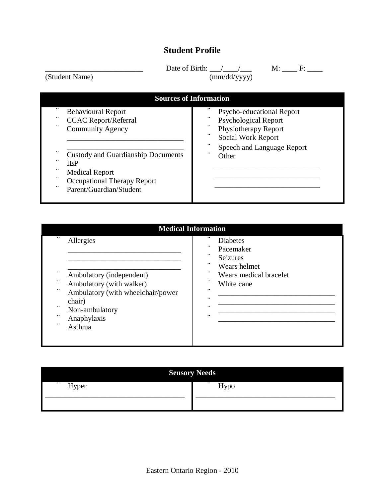## **Student Profile**

 $\Box$  Date of Birth: \_\_\_/\_\_\_/\_\_\_\_\_ M: \_\_\_\_ F: \_\_\_\_

(Student Name) (mm/dd/yyyy)

| <b>Sources of Information</b>             |                                               |  |
|-------------------------------------------|-----------------------------------------------|--|
| . .<br><b>Behavioural Report</b>          | $\cdot$ .<br><b>Psycho-educational Report</b> |  |
| . .<br><b>CCAC Report/Referral</b>        | . .<br><b>Psychological Report</b>            |  |
| . .<br><b>Community Agency</b>            | $\cdot$ .<br>Physiotherapy Report             |  |
|                                           | $\cdot$ .<br>Social Work Report               |  |
|                                           | $\cdot$ .<br>Speech and Language Report       |  |
| <b>Custody and Guardianship Documents</b> | . .<br>Other                                  |  |
| . .<br><b>IEP</b>                         |                                               |  |
| . .<br><b>Medical Report</b>              |                                               |  |
| . .<br>Occupational Therapy Report        |                                               |  |
| . .<br>Parent/Guardian/Student            |                                               |  |

| <b>Medical Information</b>                                                                                                                                                                                                           |                                                                                                                                                                                                             |  |  |  |
|--------------------------------------------------------------------------------------------------------------------------------------------------------------------------------------------------------------------------------------|-------------------------------------------------------------------------------------------------------------------------------------------------------------------------------------------------------------|--|--|--|
| . .<br>Allergies<br>. .<br>Ambulatory (independent)<br>$\cdot$ .<br>Ambulatory (with walker)<br>$\cdot$ .<br>Ambulatory (with wheelchair/power<br>chair)<br>$\cdot$ .<br>Non-ambulatory<br>$\cdot$ .<br>Anaphylaxis<br>. .<br>Asthma | . .<br><b>Diabetes</b><br>$\cdot$ .<br>Pacemaker<br>. .<br><b>Seizures</b><br>$\cdot$ .<br>Wears helmet<br>$\cdot$ .<br>Wears medical bracelet<br>. .<br>White cane<br>. .<br>. .<br>$\cdot$ .<br>$\cdot$ . |  |  |  |

| <b>Sensory Needs</b> |                  |
|----------------------|------------------|
| $\cdots$<br>Hyper    | $\cdots$<br>Hypo |
|                      |                  |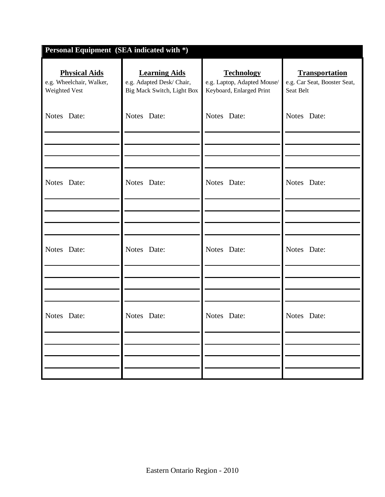| <b>Learning Aids</b><br>e.g. Adapted Desk/ Chair,<br>Big Mack Switch, Light Box | <b>Technology</b><br>e.g. Laptop, Adapted Mouse/<br>Keyboard, Enlarged Print | <b>Transportation</b><br>e.g. Car Seat, Booster Seat,<br>Seat Belt |
|---------------------------------------------------------------------------------|------------------------------------------------------------------------------|--------------------------------------------------------------------|
| Notes Date:                                                                     | Notes Date:                                                                  | Notes Date:                                                        |
|                                                                                 |                                                                              |                                                                    |
| Notes Date:                                                                     | Notes Date:                                                                  | Notes Date:                                                        |
|                                                                                 |                                                                              |                                                                    |
| Notes Date:                                                                     | Notes Date:                                                                  | Notes Date:                                                        |
|                                                                                 |                                                                              |                                                                    |
| Notes Date:                                                                     | Notes Date:                                                                  | Notes Date:                                                        |
|                                                                                 |                                                                              |                                                                    |
|                                                                                 |                                                                              |                                                                    |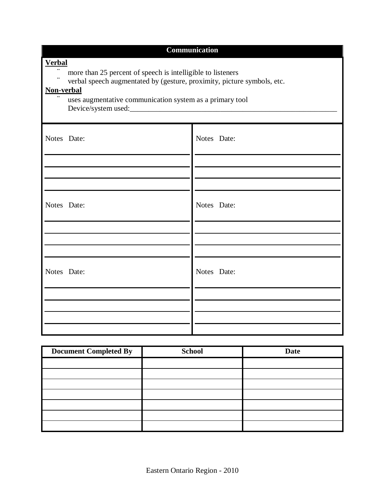| Communication                                                                                                                                                                                                                     |             |  |
|-----------------------------------------------------------------------------------------------------------------------------------------------------------------------------------------------------------------------------------|-------------|--|
| <b>Verbal</b><br>more than 25 percent of speech is intelligible to listeners<br>verbal speech augmentated by (gesture, proximity, picture symbols, etc.<br>Non-verbal<br>uses augmentative communication system as a primary tool |             |  |
| Notes Date:                                                                                                                                                                                                                       | Notes Date: |  |
| Notes Date:                                                                                                                                                                                                                       | Notes Date: |  |
| Notes Date:                                                                                                                                                                                                                       | Notes Date: |  |
|                                                                                                                                                                                                                                   |             |  |

| <b>Document Completed By</b> | <b>School</b> | <b>Date</b> |
|------------------------------|---------------|-------------|
|                              |               |             |
|                              |               |             |
|                              |               |             |
|                              |               |             |
|                              |               |             |
|                              |               |             |
|                              |               |             |